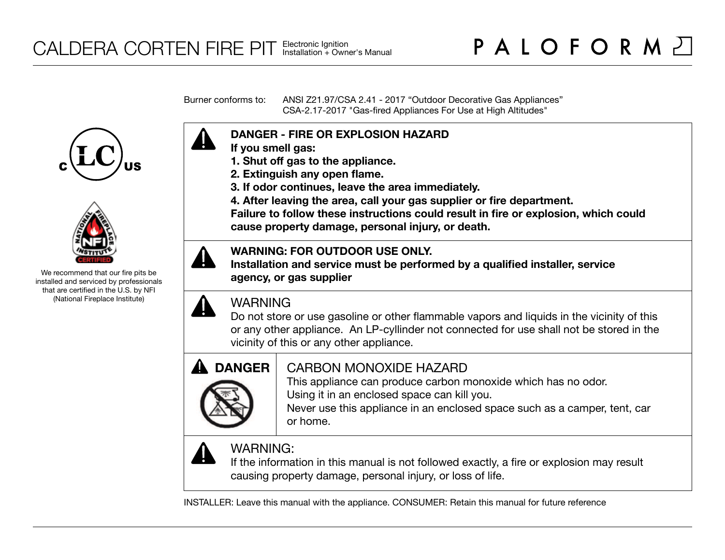Burner conforms to: ANSI Z21.97/CSA 2.41 - 2017 "Outdoor Decorative Gas Appliances" CSA-2.17-2017 "Gas-fired Appliances For Use at High Altitudes"





We recommend that our fire pits be installed and serviced by professionals that are certified in the U.S. by NFI (National Fireplace Institute)



- **If you smell gas:**
- **1. Shut off gas to the appliance.**
- **2. Extinguish any open flame.**
- **3. If odor continues, leave the area immediately.**
- **4. After leaving the area, call your gas supplier or fire department.**

**Failure to follow these instructions could result in fire or explosion, which could cause property damage, personal injury, or death.**

## **WARNING: FOR OUTDOOR USE ONLY.**

**Installation and service must be performed by a qualified installer, service agency, or gas supplier**



## WARNING

Do not store or use gasoline or other flammable vapors and liquids in the vicinity of this or any other appliance. An LP-cyllinder not connected for use shall not be stored in the vicinity of this or any other appliance.



## CARBON MONOXIDE HAZARD

This appliance can produce carbon monoxide which has no odor. Using it in an enclosed space can kill you.

Never use this appliance in an enclosed space such as a camper, tent, car or home.



# WARNING:

If the information in this manual is not followed exactly, a fire or explosion may result causing property damage, personal injury, or loss of life.

INSTALLER: Leave this manual with the appliance. CONSUMER: Retain this manual for future reference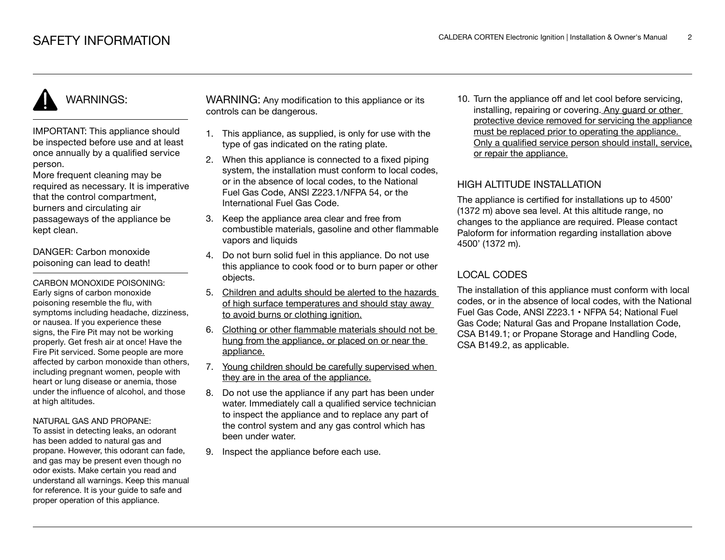# WARNINGS:

IMPORTANT: This appliance should be inspected before use and at least once annually by a qualified service person.

More frequent cleaning may be required as necessary. It is imperative that the control compartment, burners and circulating air passageways of the appliance be kept clean.

DANGER: Carbon monoxide poisoning can lead to death!

CARBON MONOXIDE POISONING: Early signs of carbon monoxide poisoning resemble the flu, with symptoms including headache, dizziness, or nausea. If you experience these signs, the Fire Pit may not be working properly. Get fresh air at once! Have the Fire Pit serviced. Some people are more affected by carbon monoxide than others, including pregnant women, people with heart or lung disease or anemia, those under the influence of alcohol, and those at high altitudes.

#### NATURAL GAS AND PROPANE:

To assist in detecting leaks, an odorant has been added to natural gas and propane. However, this odorant can fade, and gas may be present even though no odor exists. Make certain you read and understand all warnings. Keep this manual for reference. It is your guide to safe and proper operation of this appliance.

WARNING: Any modification to this appliance or its controls can be dangerous.

- 1. This appliance, as supplied, is only for use with the type of gas indicated on the rating plate.
- 2. When this appliance is connected to a fixed piping system, the installation must conform to local codes. or in the absence of local codes, to the National Fuel Gas Code, ANSI Z223.1/NFPA 54, or the International Fuel Gas Code.
- 3. Keep the appliance area clear and free from combustible materials, gasoline and other flammable vapors and liquids
- 4. Do not burn solid fuel in this appliance. Do not use this appliance to cook food or to burn paper or other objects.
- 5. Children and adults should be alerted to the hazards of high surface temperatures and should stay away to avoid burns or clothing ignition.
- 6. Clothing or other flammable materials should not be hung from the appliance, or placed on or near the appliance.
- 7. Young children should be carefully supervised when they are in the area of the appliance.
- 8. Do not use the appliance if any part has been under water. Immediately call a qualified service technician to inspect the appliance and to replace any part of the control system and any gas control which has been under water.
- 9. Inspect the appliance before each use.

10. Turn the appliance off and let cool before servicing, installing, repairing or covering. Any guard or other protective device removed for servicing the appliance must be replaced prior to operating the appliance. Only a qualified service person should install, service, or repair the appliance.

## HIGH ALTITUDE INSTALLATION

The appliance is certified for installations up to 4500' (1372 m) above sea level. At this altitude range, no changes to the appliance are required. Please contact Paloform for information regarding installation above 4500' (1372 m).

## LOCAL CODES

The installation of this appliance must conform with local codes, or in the absence of local codes, with the National Fuel Gas Code, ANSI Z223.1 • NFPA 54; National Fuel Gas Code; Natural Gas and Propane Installation Code, CSA B149.1; or Propane Storage and Handling Code, CSA B149.2, as applicable.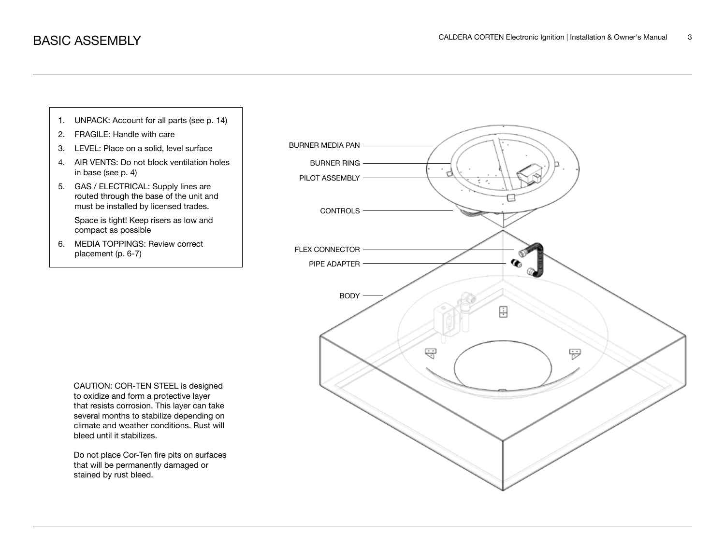

stained by rust bleed.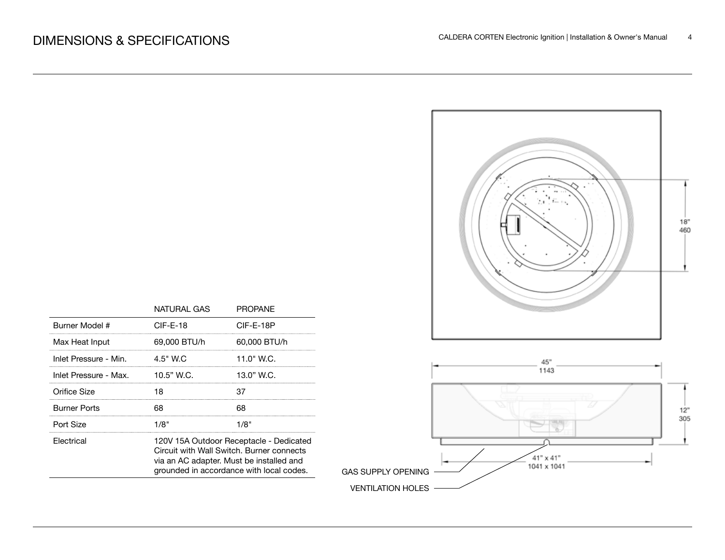

|                       | NATURAL GAS                                                                                                                                                                  | <b>PROPANE</b> |  |
|-----------------------|------------------------------------------------------------------------------------------------------------------------------------------------------------------------------|----------------|--|
| Burner Model #        | $CIF-E-18$                                                                                                                                                                   | CIF-E-18P      |  |
| Max Heat Input        | 69,000 BTU/h                                                                                                                                                                 | 60,000 BTU/h   |  |
| Inlet Pressure - Min. | 4.5" W.C                                                                                                                                                                     | 11.0" W.C.     |  |
| Inlet Pressure - Max. | $10.5"$ W.C.                                                                                                                                                                 | 13.0" W.C.     |  |
| Orifice Size          | 18                                                                                                                                                                           |                |  |
| Burner Ports          | 68                                                                                                                                                                           | 68             |  |
| Port Size             | 1/8"                                                                                                                                                                         | 1/8"           |  |
| Electrical            | 120V 15A Outdoor Receptacle - Dedicated<br>Circuit with Wall Switch, Burner connects<br>via an AC adapter. Must be installed and<br>grounded in accordance with local codes. |                |  |

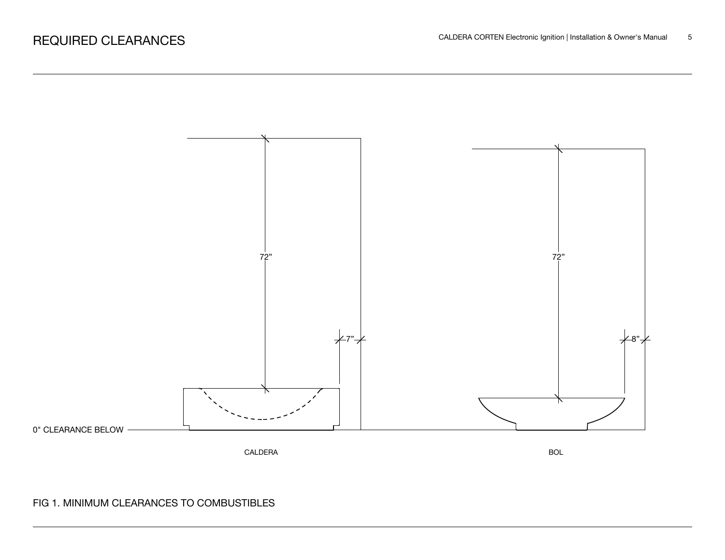

## FIG 1. MINIMUM CLEARANCES TO COMBUSTIBLES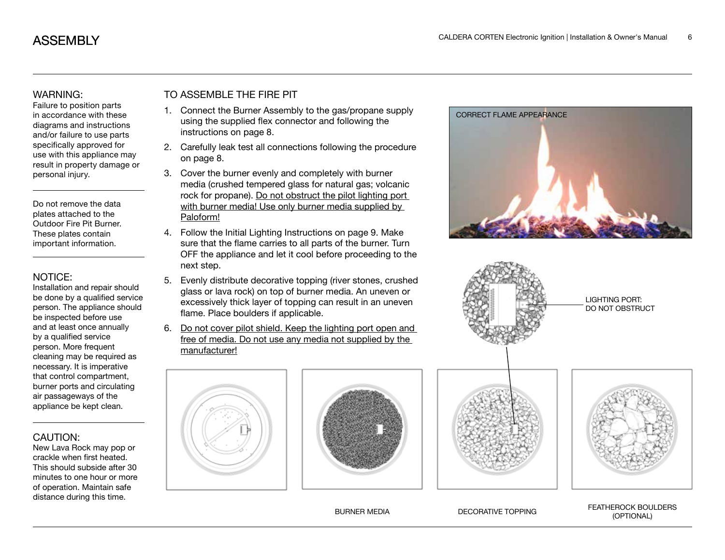#### WARNING:

Failure to position parts in accordance with these diagrams and instructions and/or failure to use parts specifically approved for use with this appliance may result in property damage or personal injury.

Do not remove the data plates attached to the Outdoor Fire Pit Burner. These plates contain important information.

#### NOTICE:

Installation and repair should be done by a qualified service person. The appliance should be inspected before use and at least once annually by a qualified service person. More frequent cleaning may be required as necessary. It is imperative that control compartment, burner ports and circulating air passageways of the appliance be kept clean.

#### CAUTION:

New Lava Rock may pop or crackle when first heated. This should subside after 30 minutes to one hour or more of operation. Maintain safe distance during this time.

## TO ASSEMBLE THE FIRE PIT

- 1. Connect the Burner Assembly to the gas/propane supply using the supplied flex connector and following the instructions on page 8.
- 2. Carefully leak test all connections following the procedure on page 8.
- 3. Cover the burner evenly and completely with burner media (crushed tempered glass for natural gas; volcanic rock for propane). Do not obstruct the pilot lighting port with burner media! Use only burner media supplied by Paloform!
- 4. Follow the Initial Lighting Instructions on page 9. Make sure that the flame carries to all parts of the burner. Turn OFF the appliance and let it cool before proceeding to the next step.
- 5. Evenly distribute decorative topping (river stones, crushed glass or lava rock) on top of burner media. An uneven or excessively thick layer of topping can result in an uneven flame. Place boulders if applicable.
- 6. Do not cover pilot shield. Keep the lighting port open and free of media. Do not use any media not supplied by the manufacturer!







BURNER MEDIA DECORATIVE TOPPING FEATHEROCK BOULDERS (OPTIONAL)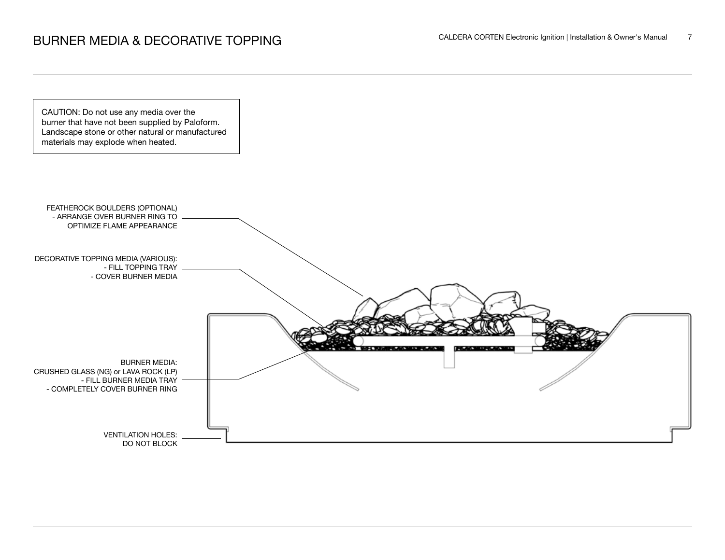# BURNER MEDIA & DECORATIVE TOPPING<br>
The CALDERA CORTEN Electronic Ignition | Installation & Owner's Manual 7

CAUTION: Do not use any media over the burner that have not been supplied by Paloform. Landscape stone or other natural or manufactured materials may explode when heated.

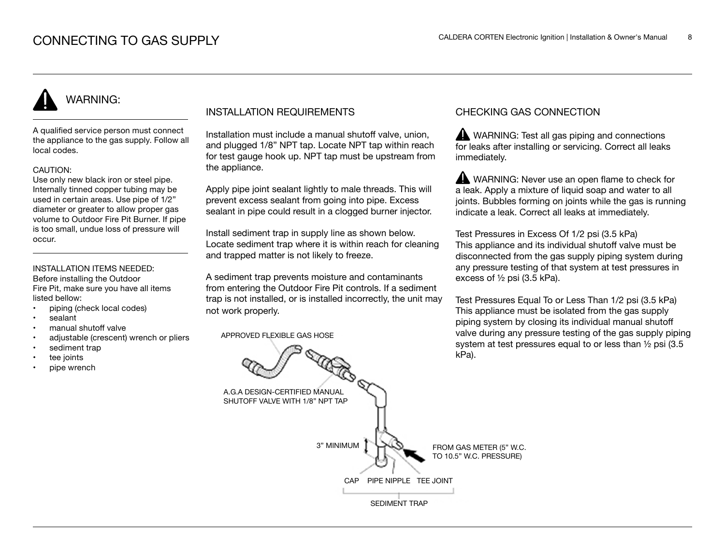# WARNING:

A qualified service person must connect the appliance to the gas supply. Follow all local codes.

#### CAUTION:

Use only new black iron or steel pipe. Internally tinned copper tubing may be used in certain areas. Use pipe of 1/2" diameter or greater to allow proper gas volume to Outdoor Fire Pit Burner. If pipe is too small, undue loss of pressure will occur.

#### INSTALLATION ITEMS NEEDED:

Before installing the Outdoor Fire Pit, make sure you have all items listed bellow:

- piping (check local codes)
- sealant
- manual shutoff valve
- adjustable (crescent) wrench or pliers
- sediment trap
- tee joints
- pipe wrench

## INSTALLATION REQUIREMENTS

Installation must include a manual shutoff valve, union, and plugged 1/8" NPT tap. Locate NPT tap within reach for test gauge hook up. NPT tap must be upstream from the appliance.

Apply pipe joint sealant lightly to male threads. This will prevent excess sealant from going into pipe. Excess sealant in pipe could result in a clogged burner injector.

Install sediment trap in supply line as shown below. Locate sediment trap where it is within reach for cleaning and trapped matter is not likely to freeze.

A sediment trap prevents moisture and contaminants from entering the Outdoor Fire Pit controls. If a sediment trap is not installed, or is installed incorrectly, the unit may not work properly.

APPROVED FLEXIBLE GAS HOSE

## CHECKING GAS CONNECTION

WARNING: Test all gas piping and connections for leaks after installing or servicing. Correct all leaks immediately.

WARNING: Never use an open flame to check for a leak. Apply a mixture of liquid soap and water to all joints. Bubbles forming on joints while the gas is running indicate a leak. Correct all leaks at immediately.

Test Pressures in Excess Of 1/2 psi (3.5 kPa) This appliance and its individual shutoff valve must be disconnected from the gas supply piping system during any pressure testing of that system at test pressures in excess of ½ psi (3.5 kPa).

Test Pressures Equal To or Less Than 1/2 psi (3.5 kPa) This appliance must be isolated from the gas supply piping system by closing its individual manual shutoff valve during any pressure testing of the gas supply piping system at test pressures equal to or less than ½ psi (3.5 kPa).

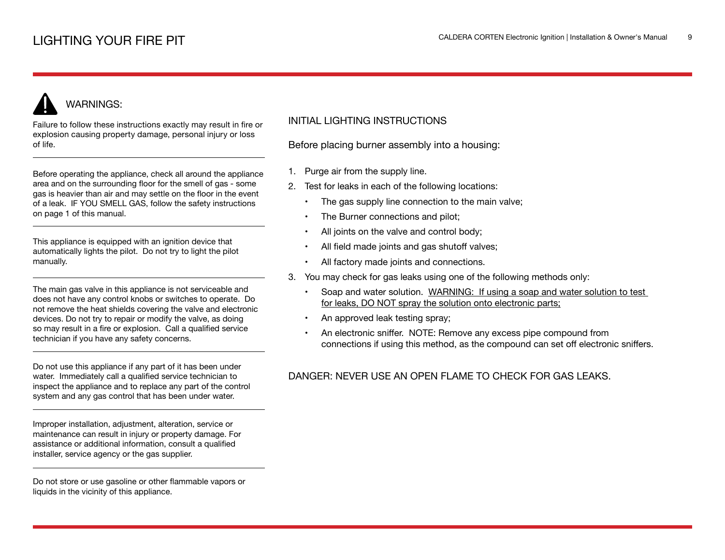# WARNINGS:

Failure to follow these instructions exactly may result in fire or explosion causing property damage, personal injury or loss of life.

Before operating the appliance, check all around the appliance area and on the surrounding floor for the smell of gas - some gas is heavier than air and may settle on the floor in the event of a leak. IF YOU SMELL GAS, follow the safety instructions on page 1 of this manual.

This appliance is equipped with an ignition device that automatically lights the pilot. Do not try to light the pilot manually.

The main gas valve in this appliance is not serviceable and does not have any control knobs or switches to operate. Do not remove the heat shields covering the valve and electronic devices. Do not try to repair or modify the valve, as doing so may result in a fire or explosion. Call a qualified service technician if you have any safety concerns.

Do not use this appliance if any part of it has been under water. Immediately call a qualified service technician to inspect the appliance and to replace any part of the control system and any gas control that has been under water.

Improper installation, adjustment, alteration, service or maintenance can result in injury or property damage. For assistance or additional information, consult a qualified installer, service agency or the gas supplier.

Do not store or use gasoline or other flammable vapors or liquids in the vicinity of this appliance.

### INITIAL LIGHTING INSTRUCTIONS

Before placing burner assembly into a housing:

- 1. Purge air from the supply line.
- 2. Test for leaks in each of the following locations:
	- The gas supply line connection to the main valve;
	- The Burner connections and pilot;
	- All joints on the valve and control body;
	- All field made joints and gas shutoff valves;
	- All factory made joints and connections.
- 3. You may check for gas leaks using one of the following methods only:
	- Soap and water solution. WARNING: If using a soap and water solution to test for leaks, DO NOT spray the solution onto electronic parts;
	- An approved leak testing spray;
	- An electronic sniffer. NOTE: Remove any excess pipe compound from connections if using this method, as the compound can set off electronic sniffers.

## DANGER: NEVER USE AN OPEN FLAME TO CHECK FOR GAS LEAKS.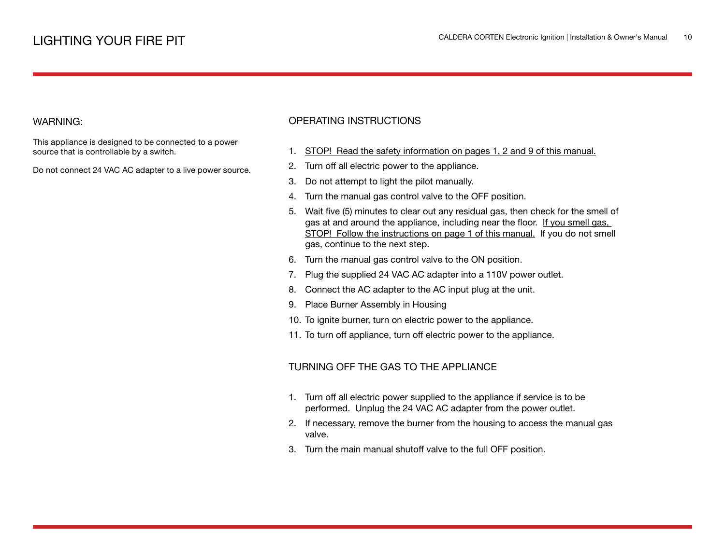#### WARNING:

This appliance is designed to be connected to a power source that is controllable by a switch.

Do not connect 24 VAC AC adapter to a live power source.

#### OPERATING INSTRUCTIONS

- 1. STOP! Read the safety information on pages 1, 2 and 9 of this manual.
- 2. Turn off all electric power to the appliance.
- 3. Do not attempt to light the pilot manually.
- 4. Turn the manual gas control valve to the OFF position.
- 5. Wait five (5) minutes to clear out any residual gas, then check for the smell of gas at and around the appliance, including near the floor. If you smell gas, STOP! Follow the instructions on page 1 of this manual. If you do not smell gas, continue to the next step.
- 6. Turn the manual gas control valve to the ON position.
- 7. Plug the supplied 24 VAC AC adapter into a 110V power outlet.
- 8. Connect the AC adapter to the AC input plug at the unit.
- 9. Place Burner Assembly in Housing
- 10. To ignite burner, turn on electric power to the appliance.
- 11. To turn off appliance, turn off electric power to the appliance.

#### TURNING OFF THE GAS TO THE APPLIANCE

- 1. Turn off all electric power supplied to the appliance if service is to be performed. Unplug the 24 VAC AC adapter from the power outlet.
- 2. If necessary, remove the burner from the housing to access the manual gas valve.
- 3. Turn the main manual shutoff valve to the full OFF position.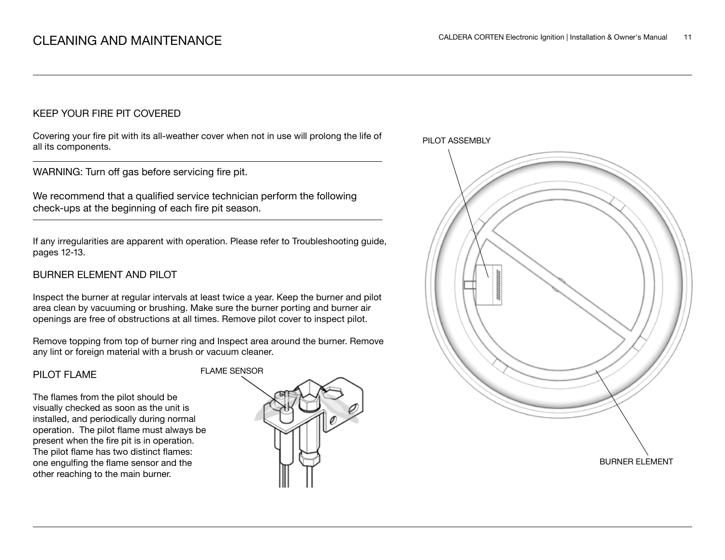### KEEP YOUR FIRE PIT COVERED

Covering your fire pit with its all-weather cover when not in use will prolong the life of all its components.

WARNING: Turn off gas before servicing fire pit.

We recommend that a qualified service technician perform the following check-ups at the beginning of each fire pit season.

If any irregularities are apparent with operation. Please refer to Troubleshooting guide, pages 12-13.

## BURNER ELEMENT AND PILOT

Inspect the burner at regular intervals at least twice a year. Keep the burner and pilot area clean by vacuuming or brushing. Make sure the burner porting and burner air openings are free of obstructions at all times. Remove pilot cover to inspect pilot.

Remove topping from top of burner ring and Inspect area around the burner. Remove any lint or foreign material with a brush or vacuum cleaner.

#### PILOT FLAME

The flames from the pilot should be visually checked as soon as the unit is installed, and periodically during normal operation. The pilot flame must always be present when the fire pit is in operation. The pilot flame has two distinct flames: one engulfing the flame sensor and the other reaching to the main burner.



PILOT ASSEMBLY

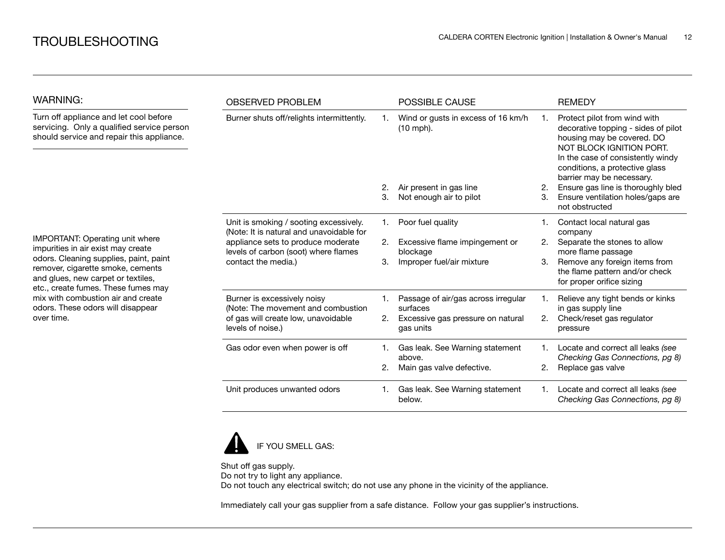| <b>WARNING:</b>                                                                                                                                          | <b>OBSERVED PROBLEM</b>                                                                                                                                                                 |    | <b>POSSIBLE CAUSE</b>                             |    | <b>REMEDY</b>                                                                                                                                                                                                                     |
|----------------------------------------------------------------------------------------------------------------------------------------------------------|-----------------------------------------------------------------------------------------------------------------------------------------------------------------------------------------|----|---------------------------------------------------|----|-----------------------------------------------------------------------------------------------------------------------------------------------------------------------------------------------------------------------------------|
| Turn off appliance and let cool before<br>servicing. Only a qualified service person<br>should service and repair this appliance.                        | Burner shuts off/relights intermittently.                                                                                                                                               |    | Wind or gusts in excess of 16 km/h<br>$(10$ mph). |    | Protect pilot from wind with<br>decorative topping - sides of pilot<br>housing may be covered. DO<br>NOT BLOCK IGNITION PORT.<br>In the case of consistently windy<br>conditions, a protective glass<br>barrier may be necessary. |
|                                                                                                                                                          |                                                                                                                                                                                         | 2. | Air present in gas line                           | 2. | Ensure gas line is thoroughly bled                                                                                                                                                                                                |
|                                                                                                                                                          |                                                                                                                                                                                         | 3. | Not enough air to pilot                           | 3. | Ensure ventilation holes/gaps are<br>not obstructed                                                                                                                                                                               |
|                                                                                                                                                          | Unit is smoking / sooting excessively.<br>(Note: It is natural and unavoidable for<br>appliance sets to produce moderate<br>levels of carbon (soot) where flames<br>contact the media.) | 1. | Poor fuel quality                                 |    | Contact local natural gas<br>company                                                                                                                                                                                              |
| IMPORTANT: Operating unit where<br>impurities in air exist may create                                                                                    |                                                                                                                                                                                         | 2. | Excessive flame impingement or                    | 2. | Separate the stones to allow                                                                                                                                                                                                      |
| odors. Cleaning supplies, paint, paint<br>remover, cigarette smoke, cements<br>and glues, new carpet or textiles,<br>etc., create fumes. These fumes may |                                                                                                                                                                                         | З. | blockage<br>Improper fuel/air mixture             | 3. | more flame passage<br>Remove any foreign items from<br>the flame pattern and/or check<br>for proper orifice sizing                                                                                                                |
| mix with combustion air and create<br>odors. These odors will disappear                                                                                  | Burner is excessively noisy<br>(Note: The movement and combustion                                                                                                                       |    | Passage of air/gas across irregular<br>surfaces   |    | Relieve any tight bends or kinks                                                                                                                                                                                                  |
| over time.                                                                                                                                               | of gas will create low, unavoidable<br>levels of noise.)                                                                                                                                | 2. | Excessive gas pressure on natural<br>gas units    | 2. | in gas supply line<br>Check/reset gas regulator<br>pressure                                                                                                                                                                       |
|                                                                                                                                                          | Gas odor even when power is off                                                                                                                                                         |    | Gas leak. See Warning statement<br>above.         |    | Locate and correct all leaks (see<br>Checking Gas Connections, pg 8)                                                                                                                                                              |
|                                                                                                                                                          |                                                                                                                                                                                         |    | Main gas valve defective.                         | 2. | Replace gas valve                                                                                                                                                                                                                 |
|                                                                                                                                                          | Unit produces unwanted odors                                                                                                                                                            | 1. | Gas leak. See Warning statement<br>below.         |    | Locate and correct all leaks (see<br>Checking Gas Connections, pg 8)                                                                                                                                                              |



Shut off gas supply. Do not try to light any appliance. Do not touch any electrical switch; do not use any phone in the vicinity of the appliance.

Immediately call your gas supplier from a safe distance. Follow your gas supplier's instructions.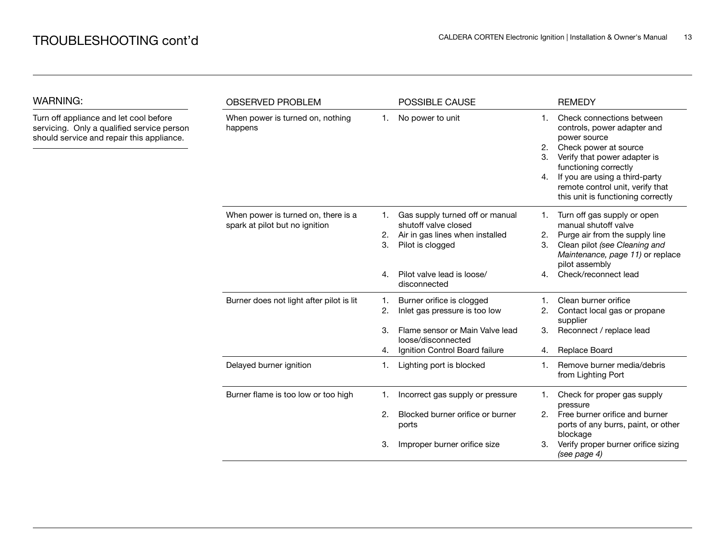Turn off appliance and let cool before servicing. Only a qualified service person should service and repair this appliance.

WARNING:

| <b>OBSERVED PROBLEM</b>                                               |                | POSSIBLE CAUSE                                                                                                 |                      | <b>REMEDY</b>                                                                                                                                                                                                                                                          |
|-----------------------------------------------------------------------|----------------|----------------------------------------------------------------------------------------------------------------|----------------------|------------------------------------------------------------------------------------------------------------------------------------------------------------------------------------------------------------------------------------------------------------------------|
| When power is turned on, nothing<br>happens                           | 1.             | No power to unit                                                                                               | 1.<br>2.<br>3.<br>4. | Check connections between<br>controls, power adapter and<br>power source<br>Check power at source<br>Verify that power adapter is<br>functioning correctly<br>If you are using a third-party<br>remote control unit, verify that<br>this unit is functioning correctly |
| When power is turned on, there is a<br>spark at pilot but no ignition | 1.<br>2.<br>3. | Gas supply turned off or manual<br>shutoff valve closed<br>Air in gas lines when installed<br>Pilot is clogged | 1.<br>2.<br>3.       | Turn off gas supply or open<br>manual shutoff valve<br>Purge air from the supply line<br>Clean pilot (see Cleaning and<br>Maintenance, page 11) or replace<br>pilot assembly                                                                                           |
|                                                                       | 4.             | Pilot valve lead is loose/<br>disconnected                                                                     | 4.                   | Check/reconnect lead                                                                                                                                                                                                                                                   |
| Burner does not light after pilot is lit                              | 1.<br>2.       | Burner orifice is clogged<br>Inlet gas pressure is too low                                                     | 1.<br>2.             | Clean burner orifice<br>Contact local gas or propane<br>supplier                                                                                                                                                                                                       |
|                                                                       | 3.<br>4.       | Flame sensor or Main Valve lead<br>loose/disconnected<br>Ignition Control Board failure                        | 3.<br>4.             | Reconnect / replace lead<br>Replace Board                                                                                                                                                                                                                              |
| Delayed burner ignition                                               | 1.             | Lighting port is blocked                                                                                       | 1.                   | Remove burner media/debris<br>from Lighting Port                                                                                                                                                                                                                       |
| Burner flame is too low or too high                                   | 1.             | Incorrect gas supply or pressure                                                                               | 1.                   | Check for proper gas supply<br>pressure                                                                                                                                                                                                                                |
|                                                                       | 2.             | Blocked burner orifice or burner<br>ports                                                                      | 2.                   | Free burner orifice and burner<br>ports of any burrs, paint, or other<br>blockage                                                                                                                                                                                      |
|                                                                       | 3.             | Improper burner orifice size                                                                                   | 3.                   | Verify proper burner orifice sizing<br>(see page 4)                                                                                                                                                                                                                    |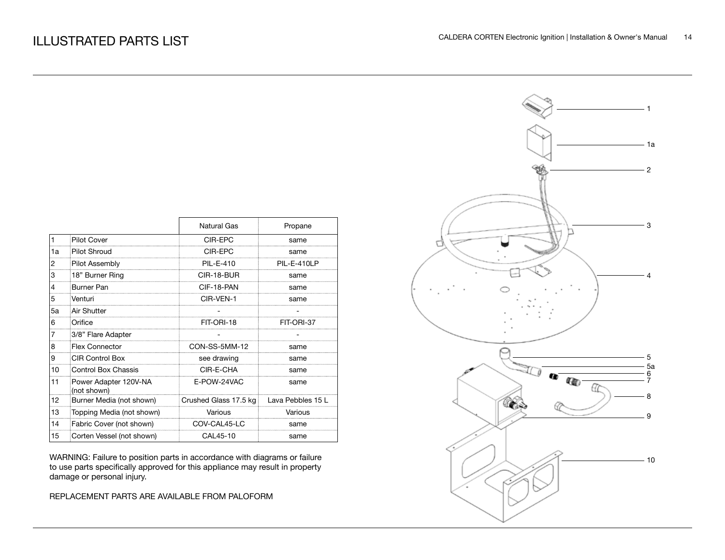|    |                                      | Natural Gas           | Propane           |
|----|--------------------------------------|-----------------------|-------------------|
| 1  | <b>Pilot Cover</b>                   | CIR-EPC               | same              |
| 1a | <b>Pilot Shroud</b>                  | CIR-EPC               | same              |
| 2  | Pilot Assembly                       | PIL-E-410             | PIL-E-410LP       |
| 3  | 18" Burner Ring                      | CIR-18-BUR            | same              |
| 4  | Burner Pan                           | CIF-18-PAN            | same              |
| 5  | Venturi                              | CIR-VEN-1             | same              |
| 5a | Air Shutter                          |                       |                   |
| 6  | Orifice                              | FIT-ORI-18            | FIT-ORI-37        |
| 7  | 3/8" Flare Adapter                   |                       |                   |
| 8  | <b>Flex Connector</b>                | CON-SS-5MM-12         | same              |
| 9  | <b>CIR Control Box</b>               | see drawing           | same              |
| 10 | <b>Control Box Chassis</b>           | CIR-E-CHA             | same              |
| 11 | Power Adapter 120V-NA<br>(not shown) | E-POW-24VAC           | same              |
| 12 | Burner Media (not shown)             | Crushed Glass 17.5 kg | Lava Pebbles 15 L |
| 13 | Topping Media (not shown)            | Various               | Various           |
| 14 | Fabric Cover (not shown)             | COV-CAL45-LC          | same              |
| 15 | Corten Vessel (not shown)            | CAL45-10              | same              |

WARNING: Failure to position parts in accordance with diagrams or failure to use parts specifically approved for this appliance may result in property damage or personal injury.

REPLACEMENT PARTS ARE AVAILABLE FROM PALOFORM

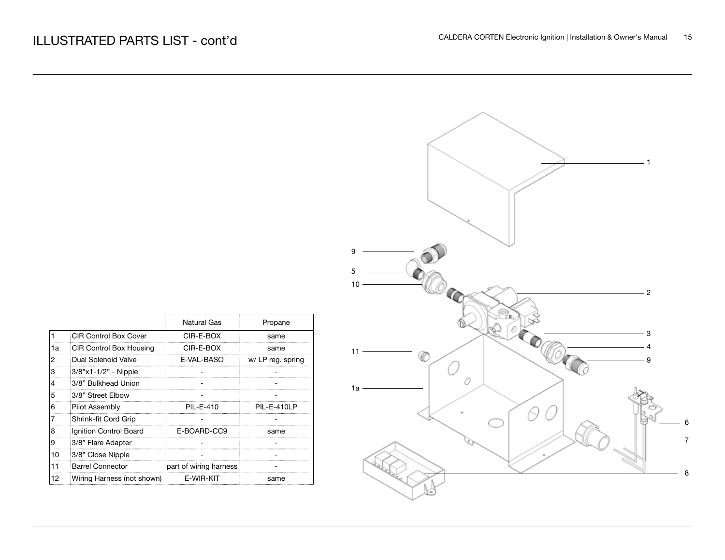| $\overline{\phantom{0}}$ 1                             |
|--------------------------------------------------------|
|                                                        |
| $\boldsymbol{9}$                                       |
| $\sqrt{5}$<br>$10\,$<br>$-2$                           |
| $\odot$<br>- 3                                         |
| $\overline{4}$<br>$11 -$<br>4<br>$\boldsymbol{9}$<br>0 |
| $1a -$                                                 |
| $\boldsymbol{6}$<br>$\boldsymbol{7}$                   |
| $\bf 8$                                                |

|    |                                | Natural Gas            | Propane            |
|----|--------------------------------|------------------------|--------------------|
|    | <b>CIR Control Box Cover</b>   | CIR-F-ROX              | same               |
| 1a | <b>CIR Control Box Housing</b> | CIR-E-BOX              | same               |
| 2  | Dual Solenoid Valve            | E-VAL-BASO             | w/ LP reg. spring  |
| 3  | 3/8"x1-1/2" - Nipple           |                        |                    |
| 4  | 3/8" Bulkhead Union            |                        |                    |
| 5  | 3/8" Street Elbow              |                        |                    |
| 6  | Pilot Assembly                 | PII -F-410             | <b>PIL-E-410LP</b> |
|    | Shrink-fit Cord Grip           |                        |                    |
| 8  | Ignition Control Board         | E-BOARD-CC9            | same               |
| 9  | 3/8" Flare Adapter             |                        |                    |
| 10 | 3/8" Close Nipple              |                        |                    |
| 11 | <b>Barrel Connector</b>        | part of wiring harness |                    |
| 12 | Wiring Harness (not shown)     | F-WIR-KIT              |                    |

 $\Gamma$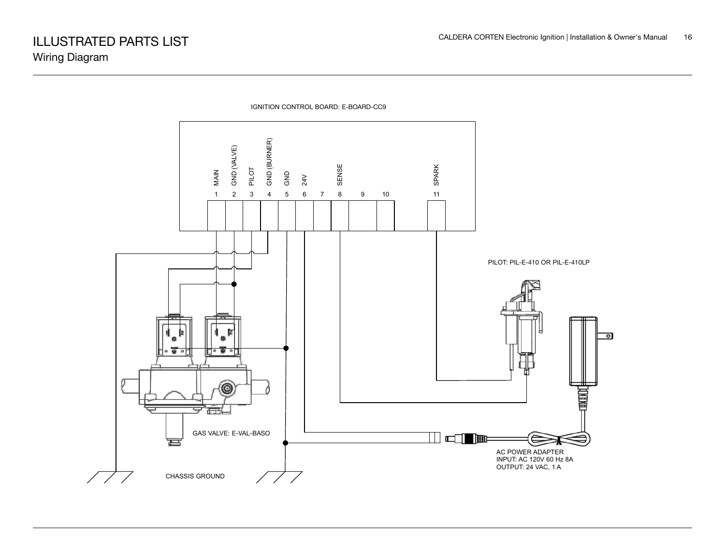

IGNITION CONTROL BOARD: E-BOARD-CC9